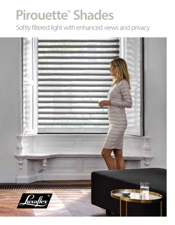# **Pirouette® Shades**

Softly filtered light with enhanced views and privacy

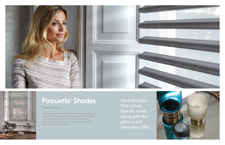Introducing all new Luxaflex® Pirouette® Shades - change the way you live with light. Inspired by the natural beauty of silk fabrics, Pirouette® Shades unique design softly filters and controls light with dramatic effects. And with PowerView® Motorisation you can control your shades from your smart device or remote control.

**I love the light that comes into the room along with the privacy and views they offer.**





### **Pirouette ® Shades**

### Sheer beauty

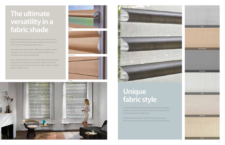Pirouette® Shades feature refined fabrics inspired by the organic beauty of raw silk and linen. With a palette of soft neutral tones to breathtaking pops of bold colour.

Our beautiful sheer fabrics softly filter out brightness, glare and UV rays, protecting your furniture and flooring from fading.

## **Unique fabric style**

Pirouette® Shades help create your privacy with soft vanes that float on a sheer backing. This unique design puts you in control of the amount of natural light that comes in.

Transform harsh exterior light by diffusing it, spreading it evenly throughout your room, so you can maximise daylight hours and reduce your need for artificial light.

Open, contoured and flat - you can easily adjust Pirouette® Shades vane position to create your desired look. Open for maximum view-through, contoured for a gentle cascade, or flat for complete privacy and light control.





### **The ultimate versatility in a fabric shade** *Open*

*Contoured*







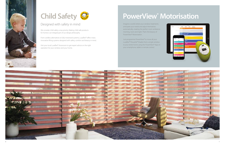#### Designed with safety in mind

We consider child safety a top priority. Making child safe products for homes is an integral part of our design philosophy.

From cordless alternatives to fully motorised systems, Luxaflex® offers many innovative lifting systems designed with safety, comfort and beauty in mind.

Visit your local Luxaflex® showroom to get expert advice on the right



Just programme PowerView® to move all your Luxaflex® Pirouette® Shades from a single window to your entire home using the PowerView® App on your smartphone, tablet or remote control.







Imagine a world where your window treatments anticipate your needs and adjust themselves automatically, creating the perfect room ambiance morning, noon and night. That's the beauty of PowerView® Motorisation.

### **PowerView® Motorisation**